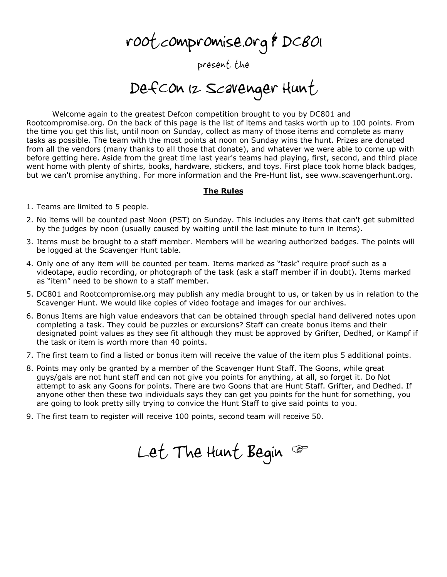rootcompromise.org &DC801

present the

DefCon 12 Scavenger Hunt

Welcome again to the greatest Defcon competition brought to you by DC801 and Rootcompromise.org. On the back of this page is the list of items and tasks worth up to 100 points. From the time you get this list, until noon on Sunday, collect as many of those items and complete as many tasks as possible. The team with the most points at noon on Sunday wins the hunt. Prizes are donated from all the vendors (many thanks to all those that donate), and whatever we were able to come up with before getting here. Aside from the great time last year's teams had playing, first, second, and third place went home with plenty of shirts, books, hardware, stickers, and toys. First place took home black badges, but we can't promise anything. For more information and the Pre-Hunt list, see www.scavengerhunt.org.

## **The Rules**

- 1. Teams are limited to 5 people.
- 2. No items will be counted past Noon (PST) on Sunday. This includes any items that can't get submitted by the judges by noon (usually caused by waiting until the last minute to turn in items).
- 3. Items must be brought to a staff member. Members will be wearing authorized badges. The points will be logged at the Scavenger Hunt table.
- 4. Only one of any item will be counted per team. Items marked as "task" require proof such as a videotape, audio recording, or photograph of the task (ask a staff member if in doubt). Items marked as "item" need to be shown to a staff member.
- 5. DC801 and Rootcompromise.org may publish any media brought to us, or taken by us in relation to the Scavenger Hunt. We would like copies of video footage and images for our archives.
- 6. Bonus Items are high value endeavors that can be obtained through special hand delivered notes upon completing a task. They could be puzzles or excursions? Staff can create bonus items and their designated point values as they see fit although they must be approved by Grifter, Dedhed, or Kampf if the task or item is worth more than 40 points.
- 7. The first team to find a listed or bonus item will receive the value of the item plus 5 additional points.
- 8. Points may only be granted by a member of the Scavenger Hunt Staff. The Goons, while great guys/gals are not hunt staff and can not give you points for anything, at all, so forget it. Do Not attempt to ask any Goons for points. There are two Goons that are Hunt Staff. Grifter, and Dedhed. If anyone other then these two individuals says they can get you points for the hunt for something, you are going to look pretty silly trying to convice the Hunt Staff to give said points to you.
- 9. The first team to register will receive 100 points, second team will receive 50.

Let The Hunt Begin  $\circledast$